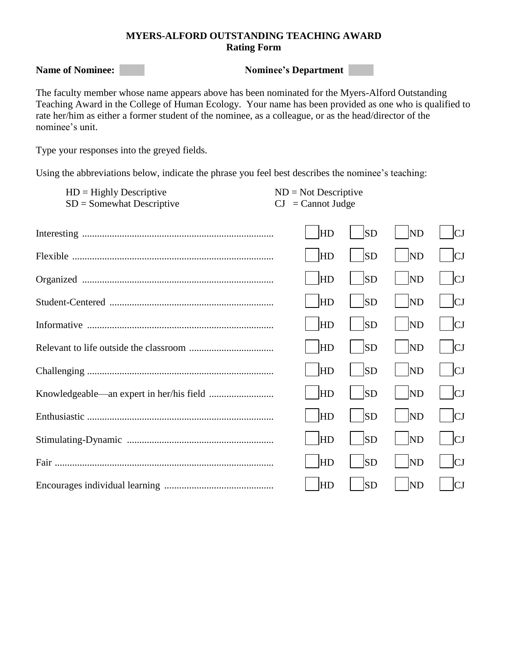## **MYERS-ALFORD OUTSTANDING TEACHING AWARD Rating Form**

**Name of Nominee:** Nominee's Department

The faculty member whose name appears above has been nominated for the Myers-Alford Outstanding Teaching Award in the College of Human Ecology. Your name has been provided as one who is qualified to rate her/him as either a former student of the nominee, as a colleague, or as the head/director of the nominee's unit.

Type your responses into the greyed fields.

Using the abbreviations below, indicate the phrase you feel best describes the nominee's teaching:

| $HD =$ Highly Descriptive   | $ND = Not$ Descriptive                           |
|-----------------------------|--------------------------------------------------|
| $SD = Somewhat Descriptive$ | $\mathbf{C} \mathbf{J} = \mathbf{C}$ annot Judge |

| HD        | <b>SD</b> | <b>ND</b>      | IСI |
|-----------|-----------|----------------|-----|
| <b>HD</b> | <b>SD</b> | <b>ND</b>      | IСJ |
| <b>HD</b> | <b>SD</b> | <b>ND</b>      | IСЈ |
| <b>HD</b> | <b>SD</b> | ND             | C   |
| <b>HD</b> | <b>SD</b> | <b>ND</b>      | IСI |
| <b>HD</b> | <b>SD</b> | <b>ND</b>      | CJ  |
| <b>HD</b> | <b>SD</b> | <b>ND</b>      | CJ  |
| <b>HD</b> | <b>SD</b> | <b>ND</b>      | CJ  |
| <b>HD</b> | <b>SD</b> | <b>ND</b>      | C   |
| <b>HD</b> | <b>SD</b> | <b>ND</b>      | CI  |
| <b>HD</b> | <b>SD</b> | ND             | C   |
| HD        | <b>SD</b> | N <sub>D</sub> | CJ  |